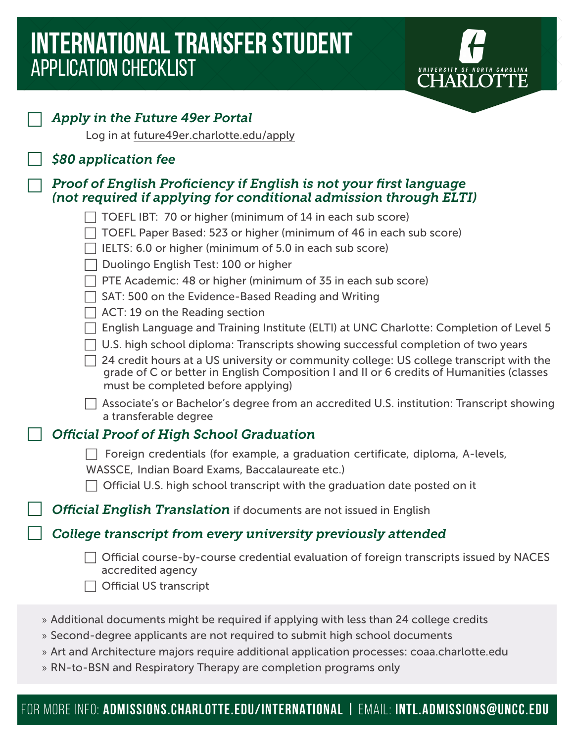# **international TRANSFER STUDENT**  application checklist



U NIVERSITY OF NORTH CAROLINA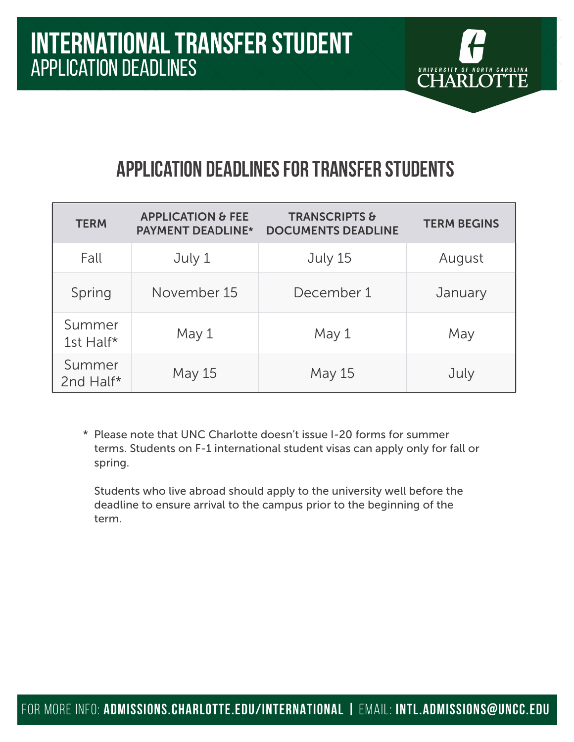

## **Application deadlines for transfer students**

| <b>TERM</b>         | <b>APPLICATION &amp; FEE</b><br><b>PAYMENT DEADLINE*</b> | <b>TRANSCRIPTS &amp;</b><br><b>DOCUMENTS DEADLINE</b> | <b>TERM BEGINS</b> |
|---------------------|----------------------------------------------------------|-------------------------------------------------------|--------------------|
| Fall                | July 1                                                   | July 15                                               | August             |
| Spring              | November 15                                              | December 1                                            | January            |
| Summer<br>1st Half* | May 1                                                    | May 1                                                 | May                |
| Summer<br>2nd Half* | May 15                                                   | May 15                                                | July               |

\* Please note that UNC Charlotte doesn't issue I-20 forms for summer terms. Students on F-1 international student visas can apply only for fall or spring.

Students who live abroad should apply to the university well before the deadline to ensure arrival to the campus prior to the beginning of the term.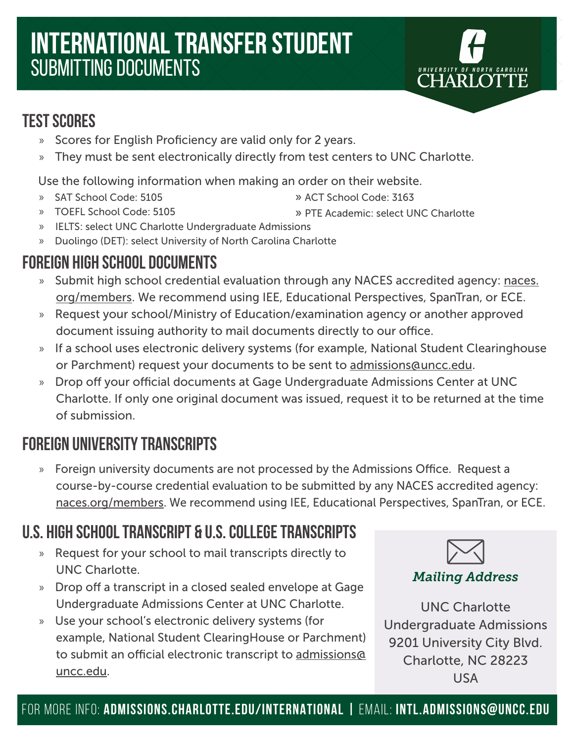# **international transfer STUDENT**  submitting documents



- » Scores for English Proficiency are valid only for 2 years.
- » They must be sent electronically directly from test centers to UNC Charlotte.

Use the following information when making an order on their website.

» SAT School Code: 5105

- » ACT School Code: 3163
- » PTE Academic: select UNC Charlotte » TOEFL School Code: 5105
- » IELTS: select UNC Charlotte Undergraduate Admissions
- » Duolingo (DET): select University of North Carolina Charlotte

### **Foreign High School Documents**

- » Submit high school credential evaluation through any NACES accredited agency: naces. org/members. We recommend using IEE, Educational Perspectives, SpanTran, or ECE.
- » Request your school/Ministry of Education/examination agency or another approved document issuing authority to mail documents directly to our office.
- » If a school uses electronic delivery systems (for example, National Student Clearinghouse or Parchment) request your documents to be sent to admissions@uncc.edu.
- » Drop off your official documents at Gage Undergraduate Admissions Center at UNC Charlotte. If only one original document was issued, request it to be returned at the time of submission.

### **Foreign university transcripts**

» Foreign university documents are not processed by the Admissions Office. Request a course-by-course credential evaluation to be submitted by any NACES accredited agency: naces.org/members. We recommend using IEE, Educational Perspectives, SpanTran, or ECE.

### **U.S. High School Transcript & u.s. college transcripts**

- » Request for your school to mail transcripts directly to UNC Charlotte.
- » Drop off a transcript in a closed sealed envelope at Gage Undergraduate Admissions Center at UNC Charlotte.
- » Use your school's electronic delivery systems (for example, National Student ClearingHouse or Parchment) to submit an official electronic transcript to admissions@ uncc.edu.



UNIVERSITY OF NORTH CAROLINA

### *Mailing Address*

UNC Charlotte Undergraduate Admissions 9201 University City Blvd. Charlotte, NC 28223 USA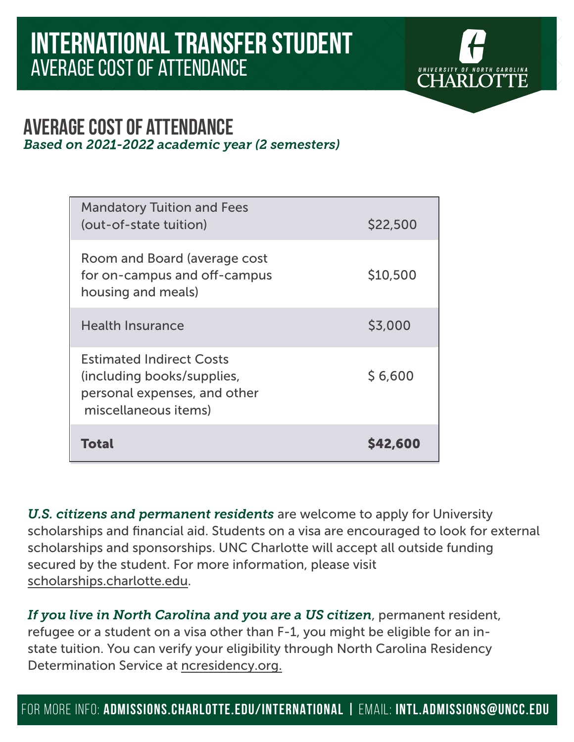

### **average cost of attendance**  *Based on 2021-2022 academic year (2 semesters)*

| <b>Mandatory Tuition and Fees</b><br>(out-of-state tuition)                                                           | \$22,500       |
|-----------------------------------------------------------------------------------------------------------------------|----------------|
| Room and Board (average cost<br>for on-campus and off-campus<br>housing and meals)                                    | \$10,500       |
| <b>Health Insurance</b>                                                                                               | \$3,000        |
| <b>Estimated Indirect Costs</b><br>(including books/supplies,<br>personal expenses, and other<br>miscellaneous items) | \$6,600        |
| <b>Total</b>                                                                                                          | <b>S42,600</b> |

*U.S. citizens and permanent residents* are welcome to apply for University scholarships and financial aid. Students on a visa are encouraged to look for external scholarships and sponsorships. UNC Charlotte will accept all outside funding secured by the student. For more information, please visit scholarships.charlotte.edu.

*If you live in North Carolina and you are a US citizen*, permanent resident, refugee or a student on a visa other than F-1, you might be eligible for an instate tuition. You can verify your eligibility through North Carolina Residency Determination Service at ncresidency.org.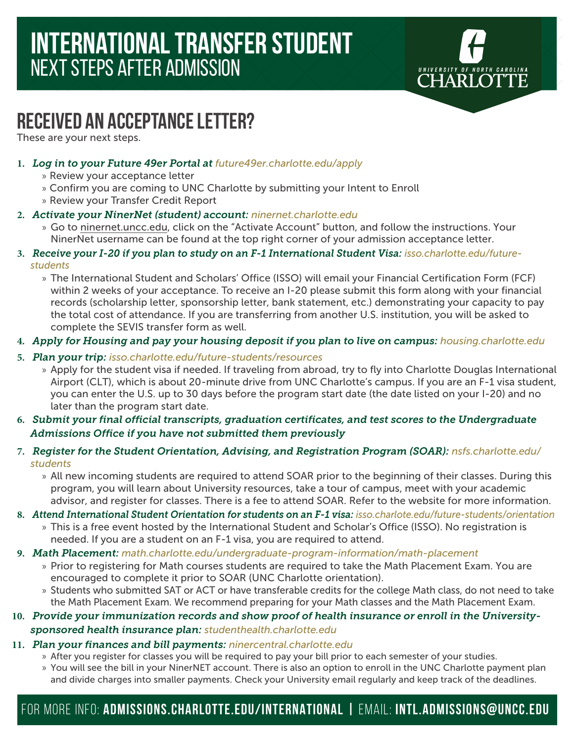

# **RECEIVED AN ACCEPTANCE LETTER?**

These are your next steps.

- **1.** *Log in to your Future 49er Portal at future49er.charlotte.edu/apply*
	- » Review your acceptance letter
	- » Confirm you are coming to UNC Charlotte by submitting your Intent to Enroll
	- » Review your Transfer Credit Report
- **2.** *Activate your NinerNet (student) account: ninernet.charlotte.edu*
	- » Go to ninernet.uncc.edu, click on the "Activate Account" button, and follow the instructions. Your NinerNet username can be found at the top right corner of your admission acceptance letter.
- **3.** *Receive your I-20 if you plan to study on an F-1 International Student Visa: isso.charlotte.edu/futurestudents*
	- » The International Student and Scholars' Office (ISSO) will email your Financial Certification Form (FCF) within 2 weeks of your acceptance. To receive an I-20 please submit this form along with your financial records (scholarship letter, sponsorship letter, bank statement, etc.) demonstrating your capacity to pay the total cost of attendance. If you are transferring from another U.S. institution, you will be asked to complete the SEVIS transfer form as well.
- **4.** *Apply for Housing and pay your housing deposit if you plan to live on campus: housing.charlotte.edu*
- **5.** *Plan your trip: isso.charlotte.edu/future-students/resources*
	- » Apply for the student visa if needed. If traveling from abroad, try to fly into Charlotte Douglas International Airport (CLT), which is about 20-minute drive from UNC Charlotte's campus. If you are an F-1 visa student, you can enter the U.S. up to 30 days before the program start date (the date listed on your I-20) and no later than the program start date.
- **6.** *Submit your final official transcripts, graduation certificates, and test scores to the Undergraduate Admissions Office if you have not submitted them previously*
- **7.** *Register for the Student Orientation, Advising, and Registration Program (SOAR): nsfs.charlotte.edu/ students*
	- » All new incoming students are required to attend SOAR prior to the beginning of their classes. During this program, you will learn about University resources, take a tour of campus, meet with your academic advisor, and register for classes. There is a fee to attend SOAR. Refer to the website for more information.
- **8.** *Attend International Student Orientation for students on an F-1 visa: isso.charlote.edu/future-students/orientation*
	- » This is a free event hosted by the International Student and Scholar's Office (ISSO). No registration is needed. If you are a student on an F-1 visa, you are required to attend.
- **9.** *Math Placement: math.charlotte.edu/undergraduate-program-information/math-placement*
	- » Prior to registering for Math courses students are required to take the Math Placement Exam. You are encouraged to complete it prior to SOAR (UNC Charlotte orientation).
	- » Students who submitted SAT or ACT or have transferable credits for the college Math class, do not need to take the Math Placement Exam. We recommend preparing for your Math classes and the Math Placement Exam.
- **10.** *Provide your immunization records and show proof of health insurance or enroll in the Universitysponsored health insurance plan: studenthealth.charlotte.edu*
- **11.** *Plan your finances and bill payments: ninercentral.charlotte.edu*
	- » After you register for classes you will be required to pay your bill prior to each semester of your studies.
	- » You will see the bill in your NinerNET account. There is also an option to enroll in the UNC Charlotte payment plan and divide charges into smaller payments. Check your University email regularly and keep track of the deadlines.